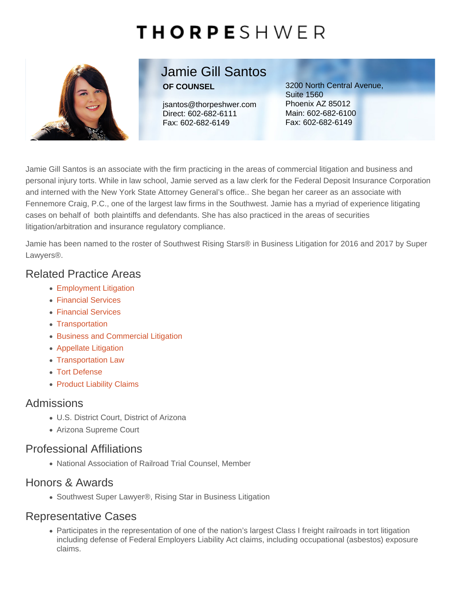# Jamie Gill Santos

OF COUNSEL

jsantos@thorpeshwer.com Direct: [602-682-6111](tel:+1-602-682-6111) Fax: 602-682-6149

3200 North Central Avenue, Suite 1560 Phoenix AZ 85012 Main: [602-682-6100](tel:+1-602-682-6100) Fax: 602-682-6149

Jamie Gill Santos is an associate with the firm practicing in the areas of commercial litigation and business and personal injury torts. While in law school, Jamie served as a law clerk for the Federal Deposit Insurance Corporation and interned with the New York State Attorney General's office.. She began her career as an associate with Fennemore Craig, P.C., one of the largest law firms in the Southwest. Jamie has a myriad of experience litigating cases on behalf of both plaintiffs and defendants. She has also practiced in the areas of securities litigation/arbitration and insurance regulatory compliance.

Jamie has been named to the roster of Southwest Rising Stars® in Business Litigation for 2016 and 2017 by Super Lawyers®.

### Related Practice Areas

- [Employment Litigation](https://www.thorpeshwer.com/what-we-do/employment-litigation/)
- [Financial Services](https://www.thorpeshwer.com/what-we-do/financial-services/)
- [Financial Services](https://www.thorpeshwer.com/what-we-do/industries/financial-services/)
- [Transportation](https://www.thorpeshwer.com/what-we-do/industries/transportation/)
- **[Business and Commercial Litigation](https://www.thorpeshwer.com/what-we-do/business-and-commercial-litigation/)**
- [Appellate Litigation](https://www.thorpeshwer.com/what-we-do/appellate-litigation/)
- [Transportation Law](https://www.thorpeshwer.com/what-we-do/transportation-law/)
- [Tort Defense](https://www.thorpeshwer.com/what-we-do/tort-defense/)
- [Product Liability Claims](https://www.thorpeshwer.com/what-we-do/product-liability-claims/)

#### Admissions

- U.S. District Court, District of Arizona
- Arizona Supreme Court

#### Professional Affiliations

National Association of Railroad Trial Counsel, Member

#### Honors & Awards

● Southwest Super Lawyer®, Rising Star in Business Litigation

## Representative Cases

Participates in the representation of one of the nation's largest Class I freight railroads in tort litigation including defense of Federal Employers Liability Act claims, including occupational (asbestos) exposure claims.